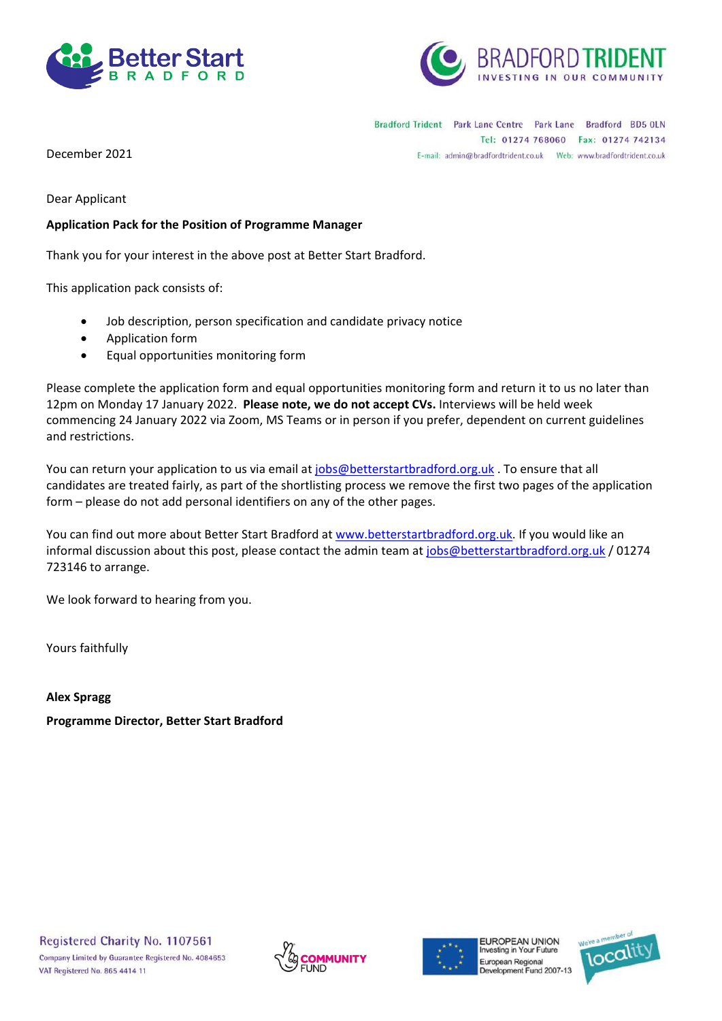



Bradford Trident Park Lane Centre Park Lane Bradford BD5 OLN Tel: 01274 768060 Fax: 01274 742134 E-mail: admin@bradfordtrident.co.uk Web: www.bradfordtrident.co.uk

December 2021

Dear Applicant

#### **Application Pack for the Position of Programme Manager**

Thank you for your interest in the above post at Better Start Bradford.

This application pack consists of:

- Job description, person specification and candidate privacy notice
- Application form
- Equal opportunities monitoring form

Please complete the application form and equal opportunities monitoring form and return it to us no later than 12pm on Monday 17 January 2022. **Please note, we do not accept CVs.** Interviews will be held week commencing 24 January 2022 via Zoom, MS Teams or in person if you prefer, dependent on current guidelines and restrictions.

You can return your application to us via email at [jobs@betterstartbradford.org.uk](mailto:jobs@betterstartbradford.org.uk) . To ensure that all candidates are treated fairly, as part of the shortlisting process we remove the first two pages of the application form – please do not add personal identifiers on any of the other pages.

You can find out more about Better Start Bradford at [www.betterstartbradford.org.uk.](http://www.betterstartbradford.org.uk/) If you would like an informal discussion about this post, please contact the admin team a[t jobs@betterstartbradford.org.uk](mailto:jobs@betterstartbradford.org.uk) / 01274 723146 to arrange.

We look forward to hearing from you.

Yours faithfully

**Alex Spragg**

**Programme Director, Better Start Bradford**





**FUROPEAN UNION** nvesting in Your Future European Regional Development Fund 2007-13

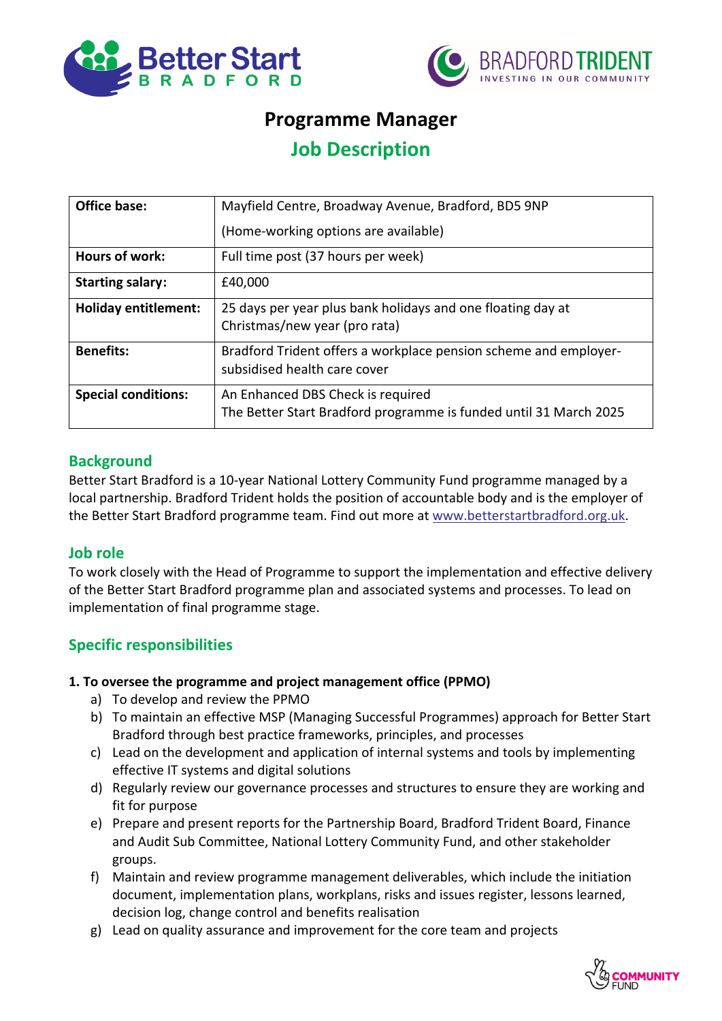



# **Programme Manager**

# **Job Description**

| <b>Office base:</b>         | Mayfield Centre, Broadway Avenue, Bradford, BD5 9NP                                                    |  |
|-----------------------------|--------------------------------------------------------------------------------------------------------|--|
|                             | (Home-working options are available)                                                                   |  |
| <b>Hours of work:</b>       | Full time post (37 hours per week)                                                                     |  |
| <b>Starting salary:</b>     | £40,000                                                                                                |  |
| <b>Holiday entitlement:</b> | 25 days per year plus bank holidays and one floating day at<br>Christmas/new year (pro rata)           |  |
| <b>Benefits:</b>            | Bradford Trident offers a workplace pension scheme and employer-<br>subsidised health care cover       |  |
| <b>Special conditions:</b>  | An Enhanced DBS Check is required<br>The Better Start Bradford programme is funded until 31 March 2025 |  |

## **Background**

Better Start Bradford is a 10-year National Lottery Community Fund programme managed by a local partnership. Bradford Trident holds the position of accountable body and is the employer of the Better Start Bradford programme team. Find out more at [www.betterstartbradford.org.uk.](http://www.betterstartbradford.org.uk/)

#### **Job role**

To work closely with the Head of Programme to support the implementation and effective delivery of the Better Start Bradford programme plan and associated systems and processes. To lead on implementation of final programme stage.

#### **Specific responsibilities**

#### **1. To oversee the programme and project management office (PPMO)**

- a) To develop and review the PPMO
- b) To maintain an effective MSP (Managing Successful Programmes) approach for Better Start Bradford through best practice frameworks, principles, and processes
- c) Lead on the development and application of internal systems and tools by implementing effective IT systems and digital solutions
- d) Regularly review our governance processes and structures to ensure they are working and fit for purpose
- e) Prepare and present reports for the Partnership Board, Bradford Trident Board, Finance and Audit Sub Committee, National Lottery Community Fund, and other stakeholder groups.
- f) Maintain and review programme management deliverables, which include the initiation document, implementation plans, workplans, risks and issues register, lessons learned, decision log, change control and benefits realisation
- g) Lead on quality assurance and improvement for the core team and projects

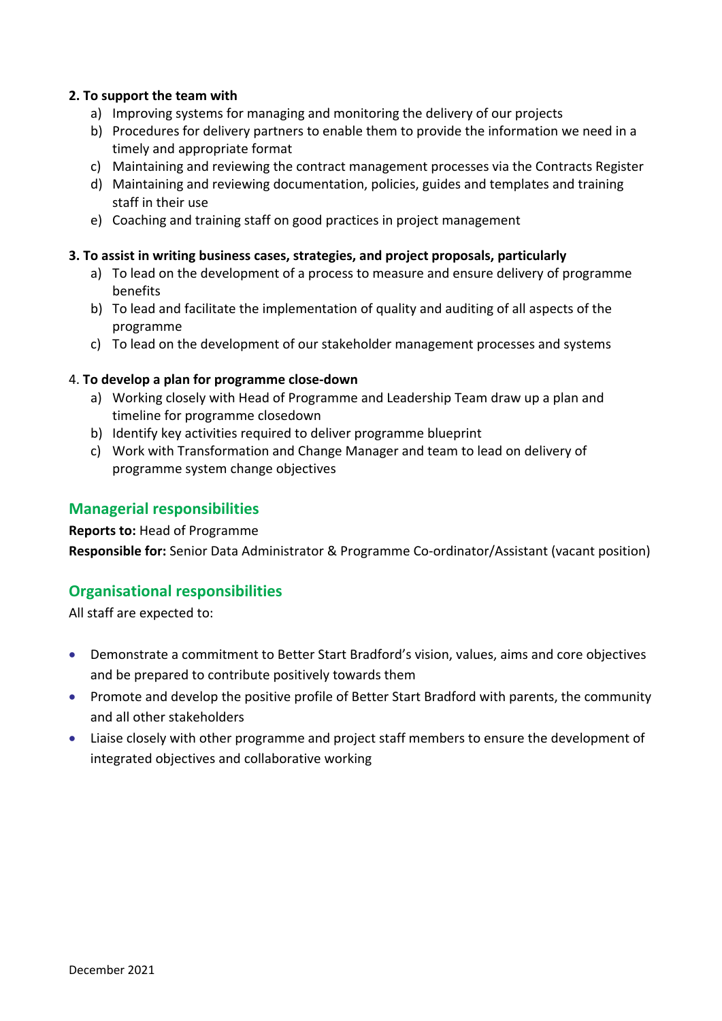#### **2. To support the team with**

- a) Improving systems for managing and monitoring the delivery of our projects
- b) Procedures for delivery partners to enable them to provide the information we need in a timely and appropriate format
- c) Maintaining and reviewing the contract management processes via the Contracts Register
- d) Maintaining and reviewing documentation, policies, guides and templates and training staff in their use
- e) Coaching and training staff on good practices in project management

#### **3. To assist in writing business cases, strategies, and project proposals, particularly**

- a) To lead on the development of a process to measure and ensure delivery of programme benefits
- b) To lead and facilitate the implementation of quality and auditing of all aspects of the programme
- c) To lead on the development of our stakeholder management processes and systems

#### 4. **To develop a plan for programme close-down**

- a) Working closely with Head of Programme and Leadership Team draw up a plan and timeline for programme closedown
- b) Identify key activities required to deliver programme blueprint
- c) Work with Transformation and Change Manager and team to lead on delivery of programme system change objectives

### **Managerial responsibilities**

#### **Reports to:** Head of Programme

**Responsible for:** Senior Data Administrator & Programme Co-ordinator/Assistant (vacant position)

## **Organisational responsibilities**

All staff are expected to:

- Demonstrate a commitment to Better Start Bradford's vision, values, aims and core objectives and be prepared to contribute positively towards them
- Promote and develop the positive profile of Better Start Bradford with parents, the community and all other stakeholders
- Liaise closely with other programme and project staff members to ensure the development of integrated objectives and collaborative working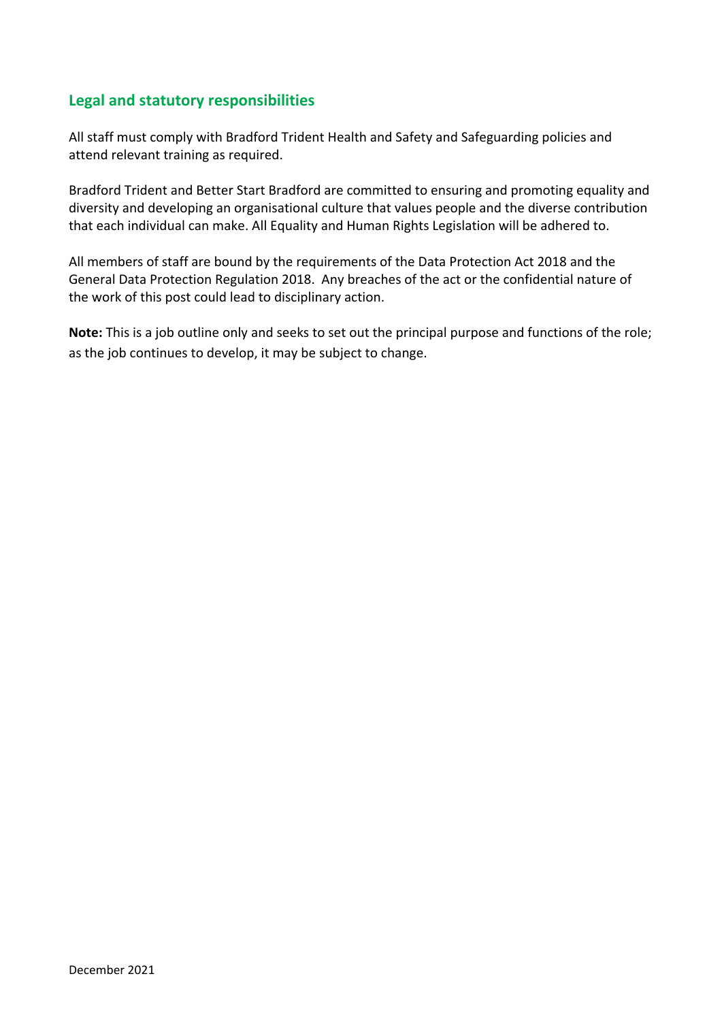# **Legal and statutory responsibilities**

All staff must comply with Bradford Trident Health and Safety and Safeguarding policies and attend relevant training as required.

Bradford Trident and Better Start Bradford are committed to ensuring and promoting equality and diversity and developing an organisational culture that values people and the diverse contribution that each individual can make. All Equality and Human Rights Legislation will be adhered to.

All members of staff are bound by the requirements of the Data Protection Act 2018 and the General Data Protection Regulation 2018. Any breaches of the act or the confidential nature of the work of this post could lead to disciplinary action.

**Note:** This is a job outline only and seeks to set out the principal purpose and functions of the role; as the job continues to develop, it may be subject to change.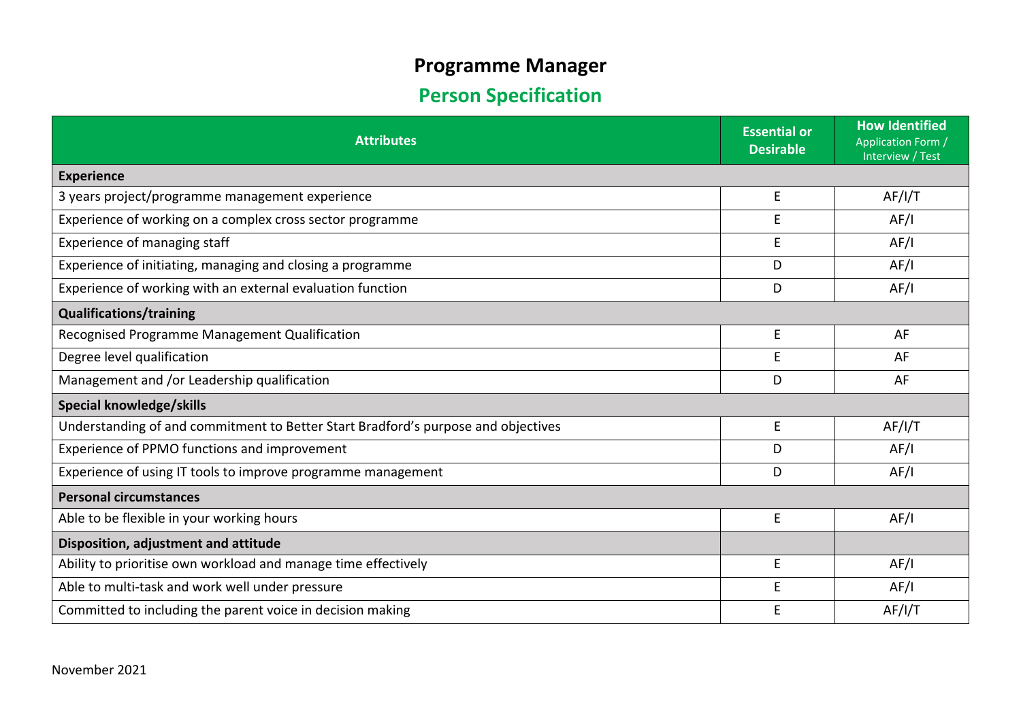# **Programme Manager**

# **Person Specification**

| <b>Attributes</b>                                                                 |   | <b>How Identified</b><br><b>Application Form /</b><br>Interview / Test |  |
|-----------------------------------------------------------------------------------|---|------------------------------------------------------------------------|--|
| <b>Experience</b>                                                                 |   |                                                                        |  |
| 3 years project/programme management experience                                   |   | AF/I/T                                                                 |  |
| Experience of working on a complex cross sector programme                         |   | AF/I                                                                   |  |
| Experience of managing staff                                                      |   | AF/I                                                                   |  |
| Experience of initiating, managing and closing a programme                        |   | AF/I                                                                   |  |
| Experience of working with an external evaluation function                        |   | AF/I                                                                   |  |
| <b>Qualifications/training</b>                                                    |   |                                                                        |  |
| Recognised Programme Management Qualification                                     | E | AF                                                                     |  |
| Degree level qualification                                                        | E | AF                                                                     |  |
| Management and /or Leadership qualification                                       |   | AF                                                                     |  |
| Special knowledge/skills                                                          |   |                                                                        |  |
| Understanding of and commitment to Better Start Bradford's purpose and objectives | E | AF/I/T                                                                 |  |
| Experience of PPMO functions and improvement                                      |   | AF/I                                                                   |  |
| Experience of using IT tools to improve programme management                      |   | AF/I                                                                   |  |
| <b>Personal circumstances</b>                                                     |   |                                                                        |  |
| Able to be flexible in your working hours                                         |   | AF/I                                                                   |  |
| Disposition, adjustment and attitude                                              |   |                                                                        |  |
| Ability to prioritise own workload and manage time effectively                    |   | AF/I                                                                   |  |
| Able to multi-task and work well under pressure                                   |   | AF/I                                                                   |  |
| Committed to including the parent voice in decision making                        |   | AF/I/T                                                                 |  |